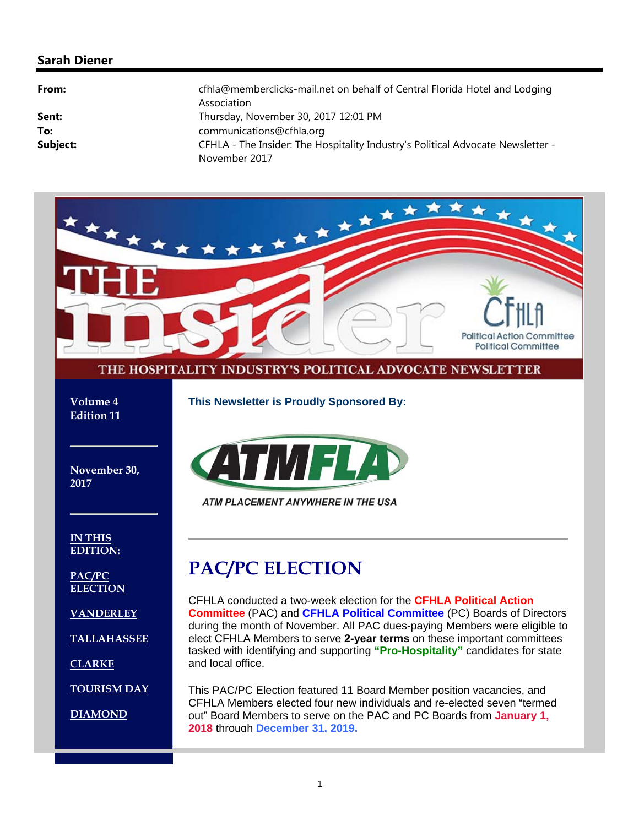### **Sarah Diener**

| From:    | cfhla@memberclicks-mail.net on behalf of Central Florida Hotel and Lodging<br>Association |
|----------|-------------------------------------------------------------------------------------------|
| Sent:    | Thursday, November 30, 2017 12:01 PM                                                      |
| To:      | communications@cfhla.org                                                                  |
| Subject: | CFHLA - The Insider: The Hospitality Industry's Political Advocate Newsletter -           |
|          | November 2017                                                                             |



THE HOSPITALITY INDUSTRY'S POLITICAL ADVOCATE NEWSLETTER

**Volume 4 Edition 11**

**November 30, 2017**

TMFLA

**This Newsletter is Proudly Sponsored By:**

ATM PLACEMENT ANYWHERE IN THE USA

**IN THIS EDITION:**

**PAC/PC ELECTION** 

**VANDERLEY** 

**TALLAHASSEE** 

**CLARKE** 

**TOURISM DAY** 

**DIAMOND** 

**PAC/PC ELECTION**

CFHLA conducted a two-week election for the **CFHLA Political Action Committee** (PAC) and **CFHLA Political Committee** (PC) Boards of Directors during the month of November. All PAC dues-paying Members were eligible to elect CFHLA Members to serve **2-year terms** on these important committees tasked with identifying and supporting **"Pro-Hospitality"** candidates for state and local office.

This PAC/PC Election featured 11 Board Member position vacancies, and CFHLA Members elected four new individuals and re-elected seven "termed out" Board Members to serve on the PAC and PC Boards from **January 1, 2018** through **December 31, 2019.**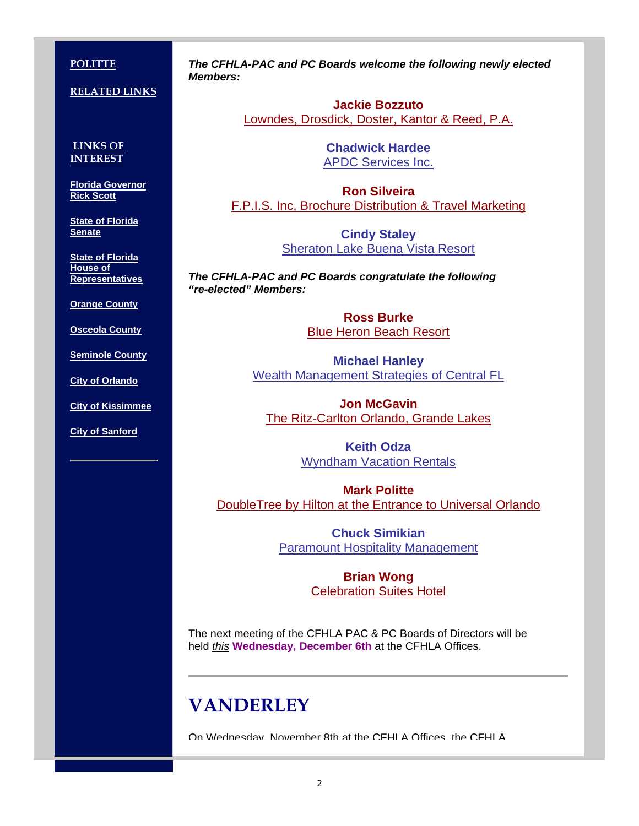#### **POLITTE**

#### **RELATED LINKS**

**LINKS OF INTEREST**

**Florida Governor Rick Scott**

**State of Florida Senate**

**State of Florida House of Representatives**

**Orange County**

**Osceola County**

**Seminole County**

**City of Orlando**

**City of Kissimmee**

**City of Sanford**

*The CFHLA-PAC and PC Boards welcome the following newly elected Members:*

> **Jackie Bozzuto** Lowndes, Drosdick, Doster, Kantor & Reed, P.A.

> > **Chadwick Hardee** APDC Services Inc.

**Ron Silveira** F.P.I.S. Inc, Brochure Distribution & Travel Marketing

> **Cindy Staley** Sheraton Lake Buena Vista Resort

*The CFHLA-PAC and PC Boards congratulate the following "re-elected" Members:*

> **Ross Burke** Blue Heron Beach Resort

**Michael Hanley** Wealth Management Strategies of Central FL

**Jon McGavin** The Ritz-Carlton Orlando, Grande Lakes

> **Keith Odza** Wyndham Vacation Rentals

**Mark Politte** DoubleTree by Hilton at the Entrance to Universal Orlando

> **Chuck Simikian** Paramount Hospitality Management

> > **Brian Wong** Celebration Suites Hotel

The next meeting of the CFHLA PAC & PC Boards of Directors will be held *this* **Wednesday, December 6th** at the CFHLA Offices.

## **VANDERLEY**

On Wednesday, November 8th at the CFHLA Offices, the CFHLA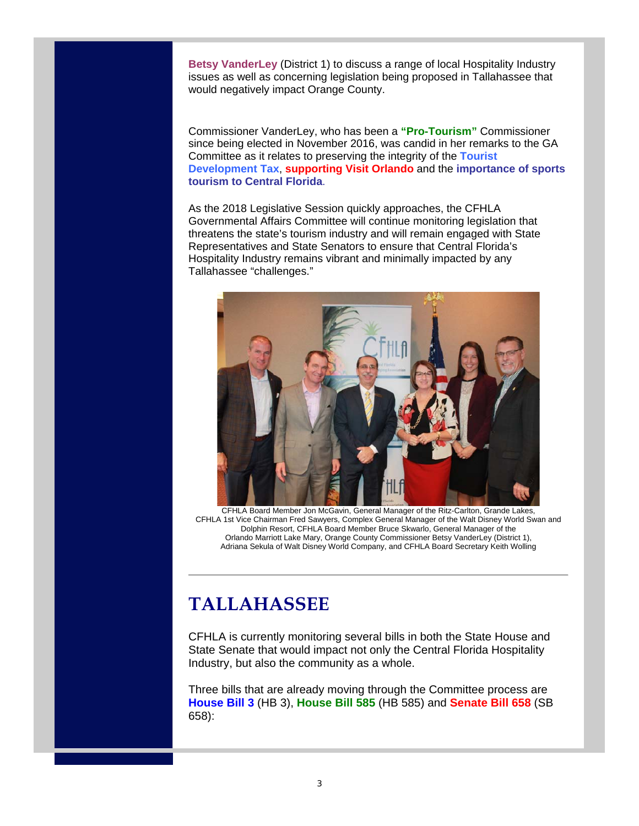**Betsy VanderLey** (District 1) to discuss a range of local Hospitality Industry issues as well as concerning legislation being proposed in Tallahassee that would negatively impact Orange County.

Commissioner VanderLey, who has been a **"Pro-Tourism"** Commissioner since being elected in November 2016, was candid in her remarks to the GA Committee as it relates to preserving the integrity of the **Tourist Development Tax**, **supporting Visit Orlando** and the **importance of sports tourism to Central Florida**.

As the 2018 Legislative Session quickly approaches, the CFHLA Governmental Affairs Committee will continue monitoring legislation that threatens the state's tourism industry and will remain engaged with State Representatives and State Senators to ensure that Central Florida's Hospitality Industry remains vibrant and minimally impacted by any Tallahassee "challenges."



CFHLA Board Member Jon McGavin, General Manager of the Ritz-Carlton, Grande Lakes, CFHLA 1st Vice Chairman Fred Sawyers, Complex General Manager of the Walt Disney World Swan and Dolphin Resort, CFHLA Board Member Bruce Skwarlo, General Manager of the Orlando Marriott Lake Mary, Orange County Commissioner Betsy VanderLey (District 1), Adriana Sekula of Walt Disney World Company, and CFHLA Board Secretary Keith Wolling

### **TALLAHASSEE**

CFHLA is currently monitoring several bills in both the State House and State Senate that would impact not only the Central Florida Hospitality Industry, but also the community as a whole.

Three bills that are already moving through the Committee process are **House Bill 3** (HB 3), **House Bill 585** (HB 585) and **Senate Bill 658** (SB 658):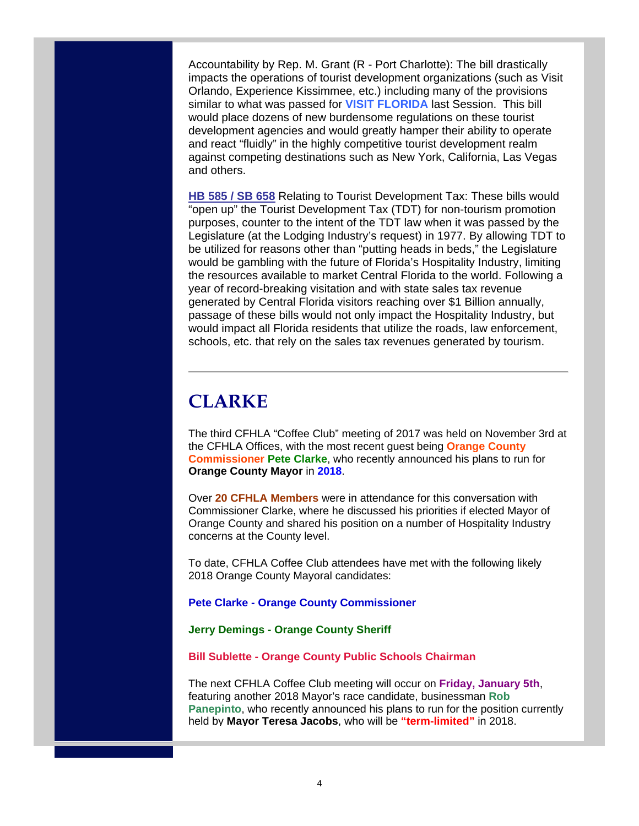Accountability by Rep. M. Grant (R - Port Charlotte): The bill drastically impacts the operations of tourist development organizations (such as Visit Orlando, Experience Kissimmee, etc.) including many of the provisions similar to what was passed for **VISIT FLORIDA** last Session. This bill would place dozens of new burdensome regulations on these tourist development agencies and would greatly hamper their ability to operate and react "fluidly" in the highly competitive tourist development realm against competing destinations such as New York, California, Las Vegas and others.

**HB 585 / SB 658** Relating to Tourist Development Tax: These bills would "open up" the Tourist Development Tax (TDT) for non-tourism promotion purposes, counter to the intent of the TDT law when it was passed by the Legislature (at the Lodging Industry's request) in 1977. By allowing TDT to be utilized for reasons other than "putting heads in beds," the Legislature would be gambling with the future of Florida's Hospitality Industry, limiting the resources available to market Central Florida to the world. Following a year of record-breaking visitation and with state sales tax revenue generated by Central Florida visitors reaching over \$1 Billion annually, passage of these bills would not only impact the Hospitality Industry, but would impact all Florida residents that utilize the roads, law enforcement, schools, etc. that rely on the sales tax revenues generated by tourism.

## **CLARKE**

The third CFHLA "Coffee Club" meeting of 2017 was held on November 3rd at the CFHLA Offices, with the most recent guest being **Orange County Commissioner Pete Clarke**, who recently announced his plans to run for **Orange County Mayor** in **2018**.

Over **20 CFHLA Members** were in attendance for this conversation with Commissioner Clarke, where he discussed his priorities if elected Mayor of Orange County and shared his position on a number of Hospitality Industry concerns at the County level.

To date, CFHLA Coffee Club attendees have met with the following likely 2018 Orange County Mayoral candidates:

**Pete Clarke - Orange County Commissioner**

**Jerry Demings - Orange County Sheriff**

#### **Bill Sublette - Orange County Public Schools Chairman**

The next CFHLA Coffee Club meeting will occur on **Friday, January 5th**, featuring another 2018 Mayor's race candidate, businessman **Rob Panepinto**, who recently announced his plans to run for the position currently held by **Mayor Teresa Jacobs**, who will be **"term-limited"** in 2018.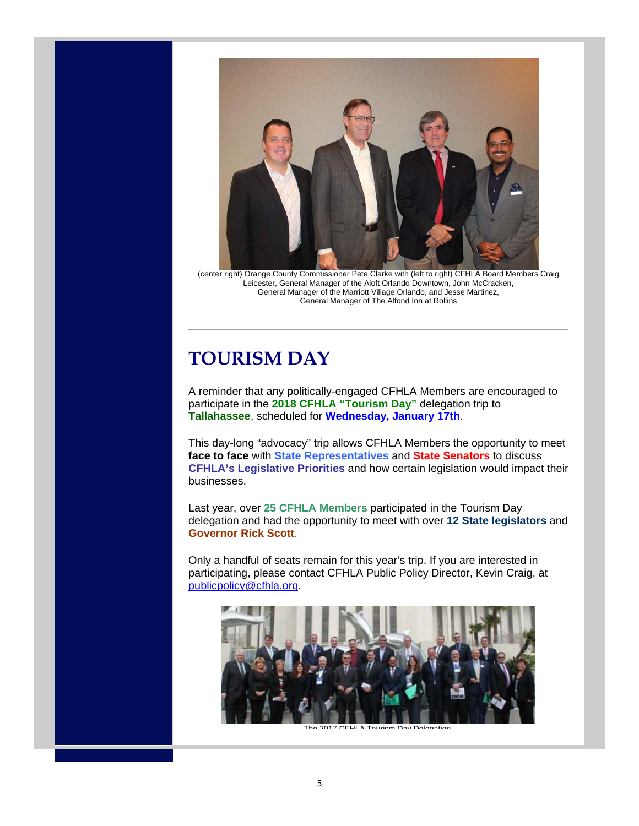

(center right) Orange County Commissioner Pete Clarke with (left to right) CFHLA Board Members Craig Leicester, General Manager of the Aloft Orlando Downtown, John McCracken, General Manager of the Marriott Village Orlando, and Jesse Martinez, General Manager of The Alfond Inn at Rollins

## **TOURISM DAY**

A reminder that any politically-engaged CFHLA Members are encouraged to participate in the **2018 CFHLA "Tourism Day"** delegation trip to **Tallahassee**, scheduled for **Wednesday, January 17th**.

This day-long "advocacy" trip allows CFHLA Members the opportunity to meet **face to face** with **State Representatives** and **State Senators** to discuss **CFHLA's Legislative Priorities** and how certain legislation would impact their businesses.

Last year, over **25 CFHLA Members** participated in the Tourism Day delegation and had the opportunity to meet with over **12 State legislators** and **Governor Rick Scott**.

Only a handful of seats remain for this year's trip. If you are interested in participating, please contact CFHLA Public Policy Director, Kevin Craig, at publicpolicy@cfhla.org.



The 2017 CFHLA Tourism Day Delegation.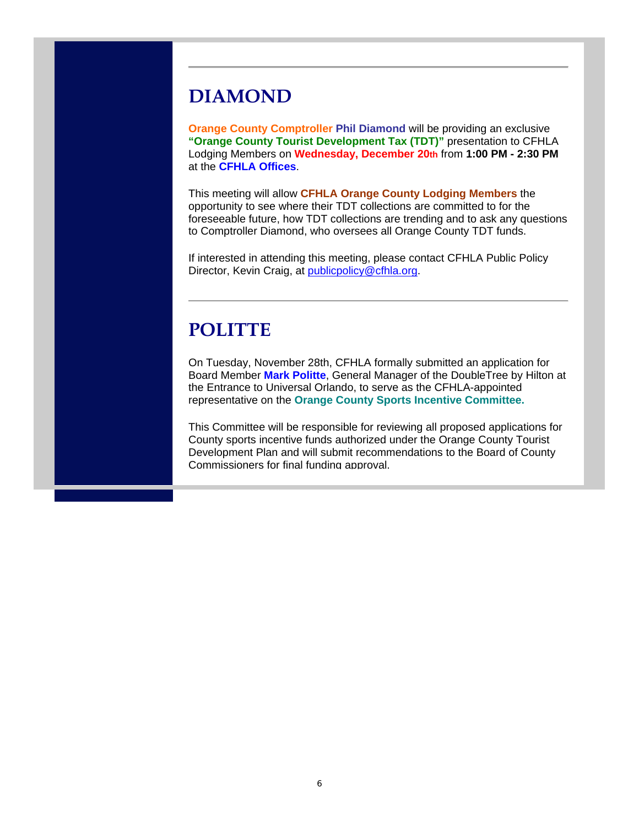### **DIAMOND**

**Orange County Comptroller Phil Diamond** will be providing an exclusive **"Orange County Tourist Development Tax (TDT)"** presentation to CFHLA Lodging Members on **Wednesday, December 20th** from **1:00 PM - 2:30 PM** at the **CFHLA Offices**.

This meeting will allow **CFHLA Orange County Lodging Members** the opportunity to see where their TDT collections are committed to for the foreseeable future, how TDT collections are trending and to ask any questions to Comptroller Diamond, who oversees all Orange County TDT funds.

If interested in attending this meeting, please contact CFHLA Public Policy Director, Kevin Craig, at publicpolicy@cfhla.org.

## **POLITTE**

On Tuesday, November 28th, CFHLA formally submitted an application for Board Member **Mark Politte**, General Manager of the DoubleTree by Hilton at the Entrance to Universal Orlando, to serve as the CFHLA-appointed representative on the **Orange County Sports Incentive Committee.**

This Committee will be responsible for reviewing all proposed applications for County sports incentive funds authorized under the Orange County Tourist Development Plan and will submit recommendations to the Board of County Commissioners for final funding approval.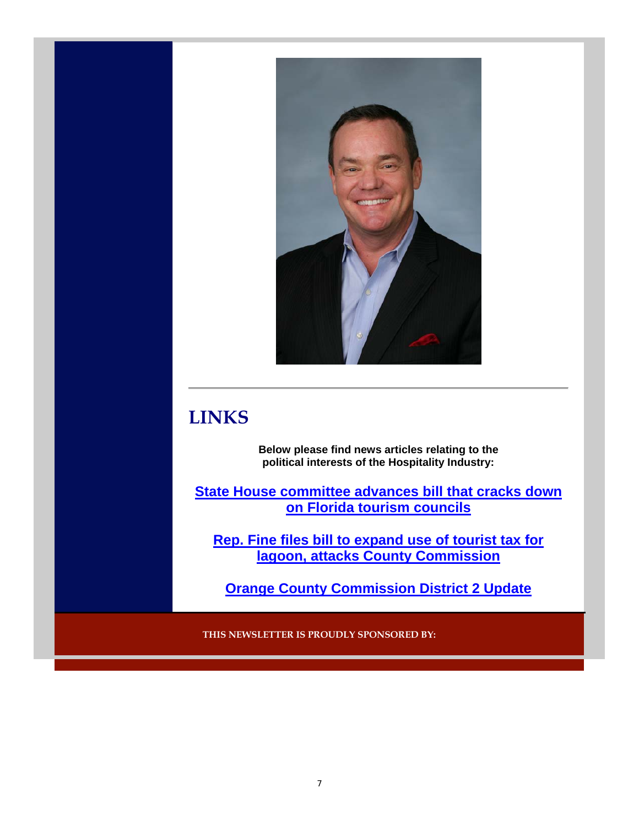

# **LINKS**

**Below please find news articles relating to the political interests of the Hospitality Industry:**

**State House committee advances bill that cracks down on Florida tourism councils** 

**Rep. Fine files bill to expand use of tourist tax for lagoon, attacks County Commission** 

**Orange County Commission District 2 Update**

**THIS NEWSLETTER IS PROUDLY SPONSORED BY:**